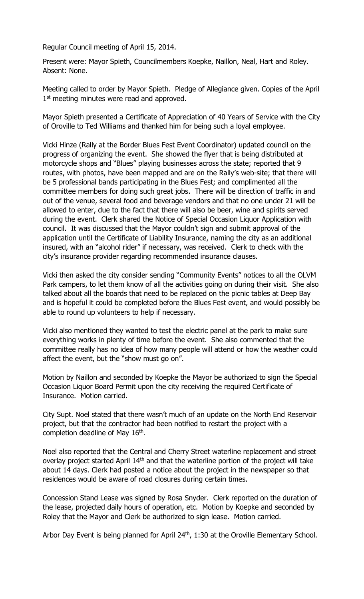Regular Council meeting of April 15, 2014.

Present were: Mayor Spieth, Councilmembers Koepke, Naillon, Neal, Hart and Roley. Absent: None.

Meeting called to order by Mayor Spieth. Pledge of Allegiance given. Copies of the April 1<sup>st</sup> meeting minutes were read and approved.

Mayor Spieth presented a Certificate of Appreciation of 40 Years of Service with the City of Oroville to Ted Williams and thanked him for being such a loyal employee.

Vicki Hinze (Rally at the Border Blues Fest Event Coordinator) updated council on the progress of organizing the event. She showed the flyer that is being distributed at motorcycle shops and "Blues" playing businesses across the state; reported that 9 routes, with photos, have been mapped and are on the Rally's web-site; that there will be 5 professional bands participating in the Blues Fest; and complimented all the committee members for doing such great jobs. There will be direction of traffic in and out of the venue, several food and beverage vendors and that no one under 21 will be allowed to enter, due to the fact that there will also be beer, wine and spirits served during the event. Clerk shared the Notice of Special Occasion Liquor Application with council. It was discussed that the Mayor couldn't sign and submit approval of the application until the Certificate of Liability Insurance, naming the city as an additional insured, with an "alcohol rider" if necessary, was received. Clerk to check with the city's insurance provider regarding recommended insurance clauses.

Vicki then asked the city consider sending "Community Events" notices to all the OLVM Park campers, to let them know of all the activities going on during their visit. She also talked about all the boards that need to be replaced on the picnic tables at Deep Bay and is hopeful it could be completed before the Blues Fest event, and would possibly be able to round up volunteers to help if necessary.

Vicki also mentioned they wanted to test the electric panel at the park to make sure everything works in plenty of time before the event. She also commented that the committee really has no idea of how many people will attend or how the weather could affect the event, but the "show must go on".

Motion by Naillon and seconded by Koepke the Mayor be authorized to sign the Special Occasion Liquor Board Permit upon the city receiving the required Certificate of Insurance. Motion carried.

City Supt. Noel stated that there wasn't much of an update on the North End Reservoir project, but that the contractor had been notified to restart the project with a completion deadline of May  $16<sup>th</sup>$ .

Noel also reported that the Central and Cherry Street waterline replacement and street overlay project started April 14<sup>th</sup> and that the waterline portion of the project will take about 14 days. Clerk had posted a notice about the project in the newspaper so that residences would be aware of road closures during certain times.

Concession Stand Lease was signed by Rosa Snyder. Clerk reported on the duration of the lease, projected daily hours of operation, etc. Motion by Koepke and seconded by Roley that the Mayor and Clerk be authorized to sign lease. Motion carried.

Arbor Day Event is being planned for April 24<sup>th</sup>, 1:30 at the Oroville Elementary School.